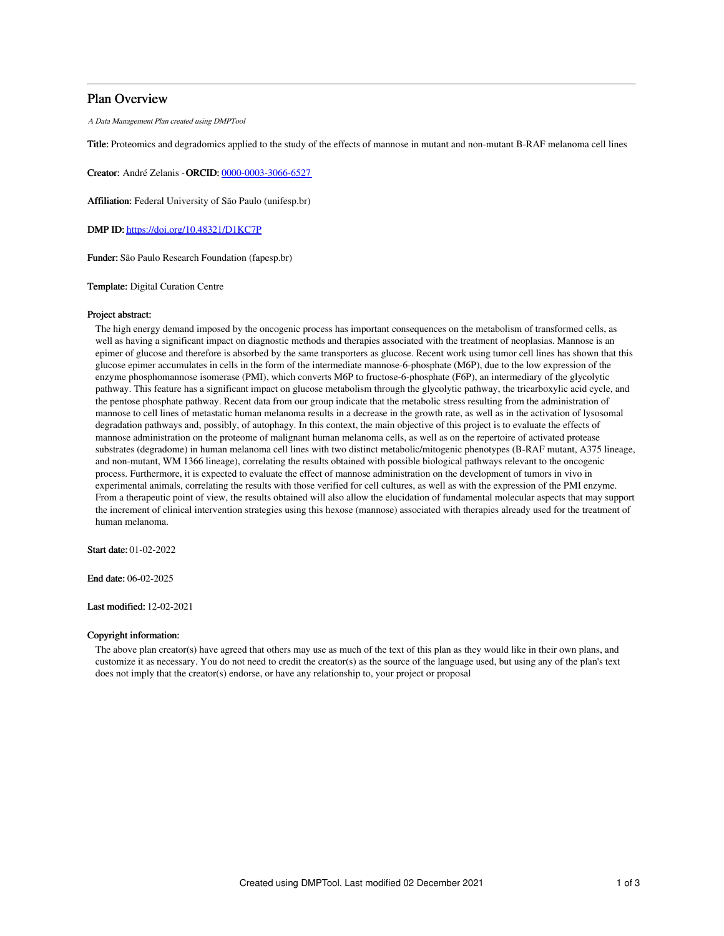## Plan Overview

A Data Management Plan created using DMPTool

Title: Proteomics and degradomics applied to the study of the effects of mannose in mutant and non-mutant B-RAF melanoma cell lines

Creator: André Zelanis -ORCID: [0000-0003-3066-6527](https://orcid.org/0000-0003-3066-6527)

Affiliation: Federal University of São Paulo (unifesp.br)

DMP ID: <https://doi.org/10.48321/D1KC7P>

Funder: São Paulo Research Foundation (fapesp.br)

Template: Digital Curation Centre

### Project abstract:

The high energy demand imposed by the oncogenic process has important consequences on the metabolism of transformed cells, as well as having a significant impact on diagnostic methods and therapies associated with the treatment of neoplasias. Mannose is an epimer of glucose and therefore is absorbed by the same transporters as glucose. Recent work using tumor cell lines has shown that this glucose epimer accumulates in cells in the form of the intermediate mannose-6-phosphate (M6P), due to the low expression of the enzyme phosphomannose isomerase (PMI), which converts M6P to fructose-6-phosphate (F6P), an intermediary of the glycolytic pathway. This feature has a significant impact on glucose metabolism through the glycolytic pathway, the tricarboxylic acid cycle, and the pentose phosphate pathway. Recent data from our group indicate that the metabolic stress resulting from the administration of mannose to cell lines of metastatic human melanoma results in a decrease in the growth rate, as well as in the activation of lysosomal degradation pathways and, possibly, of autophagy. In this context, the main objective of this project is to evaluate the effects of mannose administration on the proteome of malignant human melanoma cells, as well as on the repertoire of activated protease substrates (degradome) in human melanoma cell lines with two distinct metabolic/mitogenic phenotypes (B-RAF mutant, A375 lineage, and non-mutant, WM 1366 lineage), correlating the results obtained with possible biological pathways relevant to the oncogenic process. Furthermore, it is expected to evaluate the effect of mannose administration on the development of tumors in vivo in experimental animals, correlating the results with those verified for cell cultures, as well as with the expression of the PMI enzyme. From a therapeutic point of view, the results obtained will also allow the elucidation of fundamental molecular aspects that may support the increment of clinical intervention strategies using this hexose (mannose) associated with therapies already used for the treatment of human melanoma.

Start date: 01-02-2022

End date: 06-02-2025

Last modified: 12-02-2021

## Copyright information:

The above plan creator(s) have agreed that others may use as much of the text of this plan as they would like in their own plans, and customize it as necessary. You do not need to credit the creator(s) as the source of the language used, but using any of the plan's text does not imply that the creator(s) endorse, or have any relationship to, your project or proposal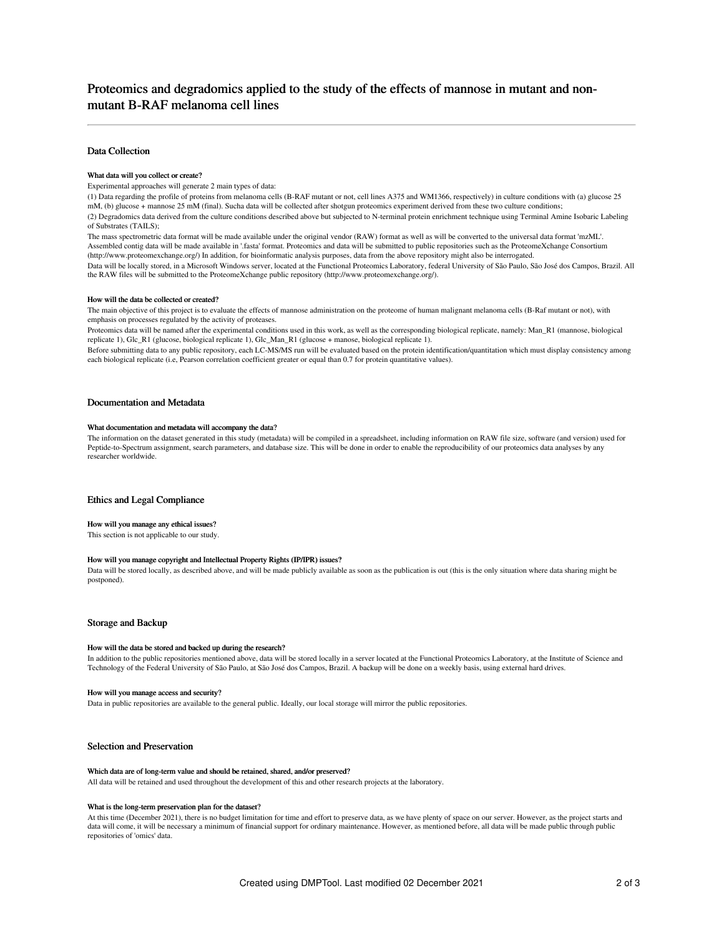### Data Collection

#### What data will you collect or create?

Experimental approaches will generate 2 main types of data:

(1) Data regarding the profile of proteins from melanoma cells (B-RAF mutant or not, cell lines A375 and WM1366, respectively) in culture conditions with (a) glucose 25 mM, (b) glucose + mannose 25 mM (final). Sucha data will be collected after shotgun proteomics experiment derived from these two culture conditions; (2) Degradomics data derived from the culture conditions described above but subjected to N-terminal protein enrichment technique using Terminal Amine Isobaric Labeling of Substrates (TAILS);

The mass spectrometric data format will be made available under the original vendor (RAW) format as well as will be converted to the universal data format 'mzML'. Assembled contig data will be made available in '.fasta' format. Proteomics and data will be submitted to public repositories such as the ProteomeXchange Consortium (http://www.proteomexchange.org/) In addition, for bioinformatic analysis purposes, data from the above repository might also be interrogated.

Data will be locally stored, in a Microsoft Windows server, located at the Functional Proteomics Laboratory, federal University of São Paulo, São José dos Campos, Brazil. All the RAW files will be submitted to the ProteomeXchange public repository (http://www.proteomexchange.org/).

#### How will the data be collected or created?

The main objective of this project is to evaluate the effects of mannose administration on the proteome of human malignant melanoma cells (B-Raf mutant or not), with emphasis on processes regulated by the activity of proteases.

Proteomics data will be named after the experimental conditions used in this work, as well as the corresponding biological replicate, namely: Man\_R1 (mannose, biological replicate 1), Glc\_R1 (glucose, biological replicate 1), Glc\_Man\_R1 (glucose + manose, biological replicate 1).

Before submitting data to any public repository, each LC-MS/MS run will be evaluated based on the protein identification/quantitation which must display consistency among each biological replicate (i.e, Pearson correlation coefficient greater or equal than 0.7 for protein quantitative values).

### Documentation and Metadata

#### What documentation and metadata will accompany the data?

The information on the dataset generated in this study (metadata) will be compiled in a spreadsheet, including information on RAW file size, software (and version) used for Peptide-to-Spectrum assignment, search parameters, and database size. This will be done in order to enable the reproducibility of our proteomics data analyses by any researcher worldwide.

## Ethics and Legal Compliance

#### How will you manage any ethical issues?

This section is not applicable to our study.

#### How will you manage copyright and Intellectual Property Rights (IP/IPR) issues?

Data will be stored locally, as described above, and will be made publicly available as soon as the publication is out (this is the only situation where data sharing might be postponed).

#### Storage and Backup

#### How will the data be stored and backed up during the research?

In addition to the public repositories mentioned above, data will be stored locally in a server located at the Functional Proteomics Laboratory, at the Institute of Science and Technology of the Federal University of São Paulo, at São José dos Campos, Brazil. A backup will be done on a weekly basis, using external hard drives.

#### How will you manage access and security?

Data in public repositories are available to the general public. Ideally, our local storage will mirror the public repositories.

### Selection and Preservation

#### Which data are of long-term value and should be retained, shared, and/or preserved?

All data will be retained and used throughout the development of this and other research projects at the laboratory.

#### What is the long-term preservation plan for the dataset?

At this time (December 2021), there is no budget limitation for time and effort to preserve data, as we have plenty of space on our server. However, as the project starts and data will come, it will be necessary a minimum of financial support for ordinary maintenance. However, as mentioned before, all data will be made public through public repositories of 'omics' data.